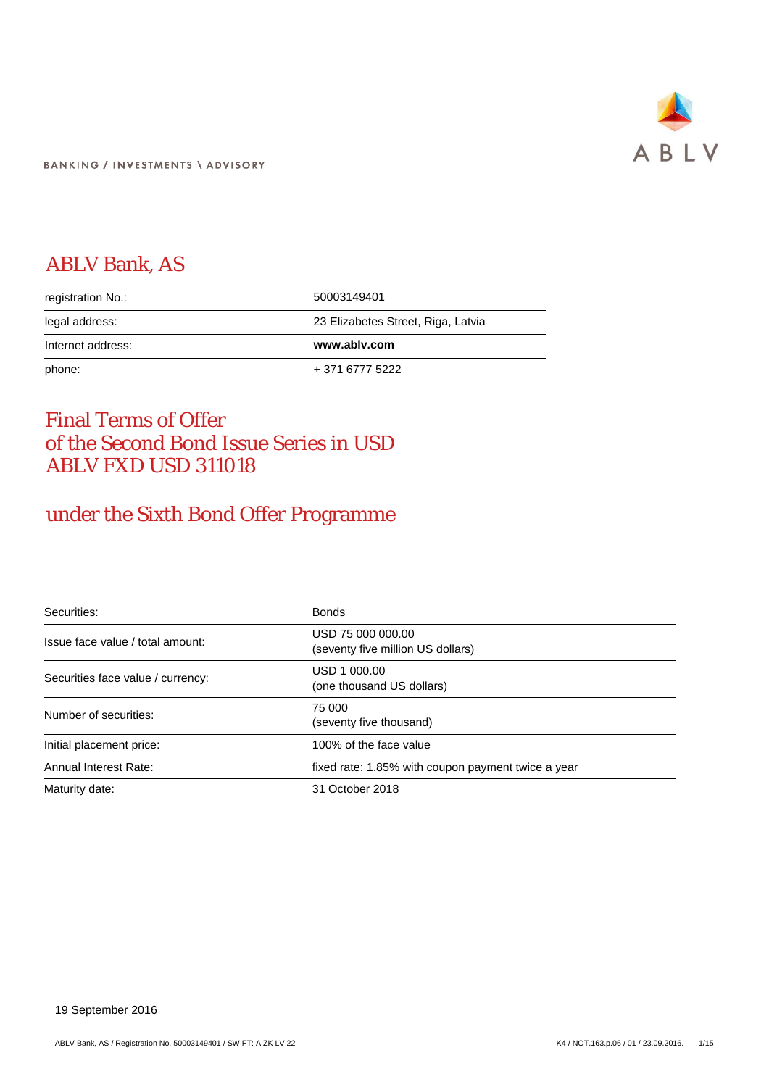

# ABLV Bank, AS

| registration No.: | 50003149401                        |
|-------------------|------------------------------------|
| legal address:    | 23 Elizabetes Street, Riga, Latvia |
|                   |                                    |
| Internet address: | www.ablv.com                       |

# Final Terms of Offer of the Second Bond Issue Series in USD ABLV FXD USD 311018

# under the Sixth Bond Offer Programme

| Securities:                       | <b>Bonds</b>                                           |
|-----------------------------------|--------------------------------------------------------|
| Issue face value / total amount:  | USD 75 000 000.00<br>(seventy five million US dollars) |
| Securities face value / currency: | USD 1 000.00<br>(one thousand US dollars)              |
| Number of securities:             | 75 000<br>(seventy five thousand)                      |
| Initial placement price:          | 100% of the face value                                 |
| Annual Interest Rate:             | fixed rate: 1.85% with coupon payment twice a year     |
| Maturity date:                    | 31 October 2018                                        |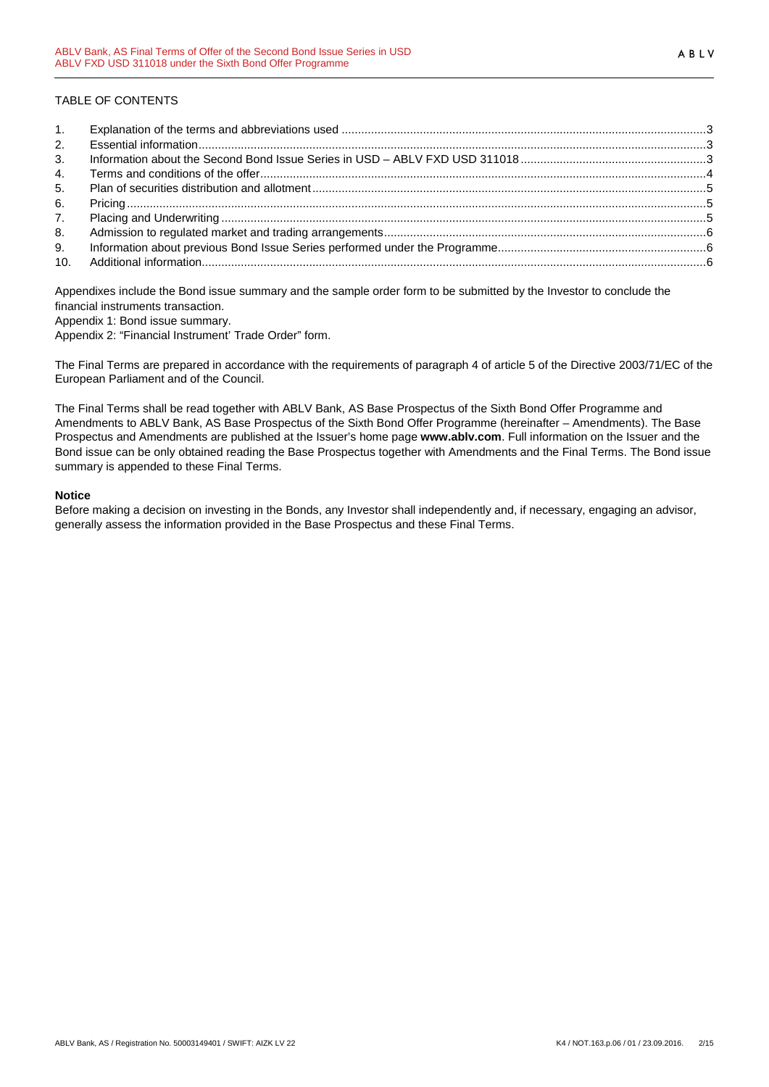## TABLE OF CONTENTS

| 1.             |  |
|----------------|--|
| 2.             |  |
| 3 <sub>1</sub> |  |
| 4.             |  |
| 5.             |  |
| 6.             |  |
| 7 <sub>1</sub> |  |
| 8.             |  |
| 9.             |  |
| 10.            |  |

Appendixes include the Bond issue summary and the sample order form to be submitted by the Investor to conclude the financial instruments transaction.

Appendix 1: Bond issue summary.

Appendix 2: "Financial Instrument' Trade Order" form.

The Final Terms are prepared in accordance with the requirements of paragraph 4 of article 5 of the Directive 2003/71/EC of the European Parliament and of the Council.

The Final Terms shall be read together with ABLV Bank, AS Base Prospectus of the Sixth Bond Offer Programme and Amendments to ABLV Bank, AS Base Prospectus of the Sixth Bond Offer Programme (hereinafter – Amendments). The Base Prospectus and Amendments are published at the Issuer's home page **www.ablv.com**. Full information on the Issuer and the Bond issue can be only obtained reading the Base Prospectus together with Amendments and the Final Terms. The Bond issue summary is appended to these Final Terms.

### **Notice**

Before making a decision on investing in the Bonds, any Investor shall independently and, if necessary, engaging an advisor, generally assess the information provided in the Base Prospectus and these Final Terms.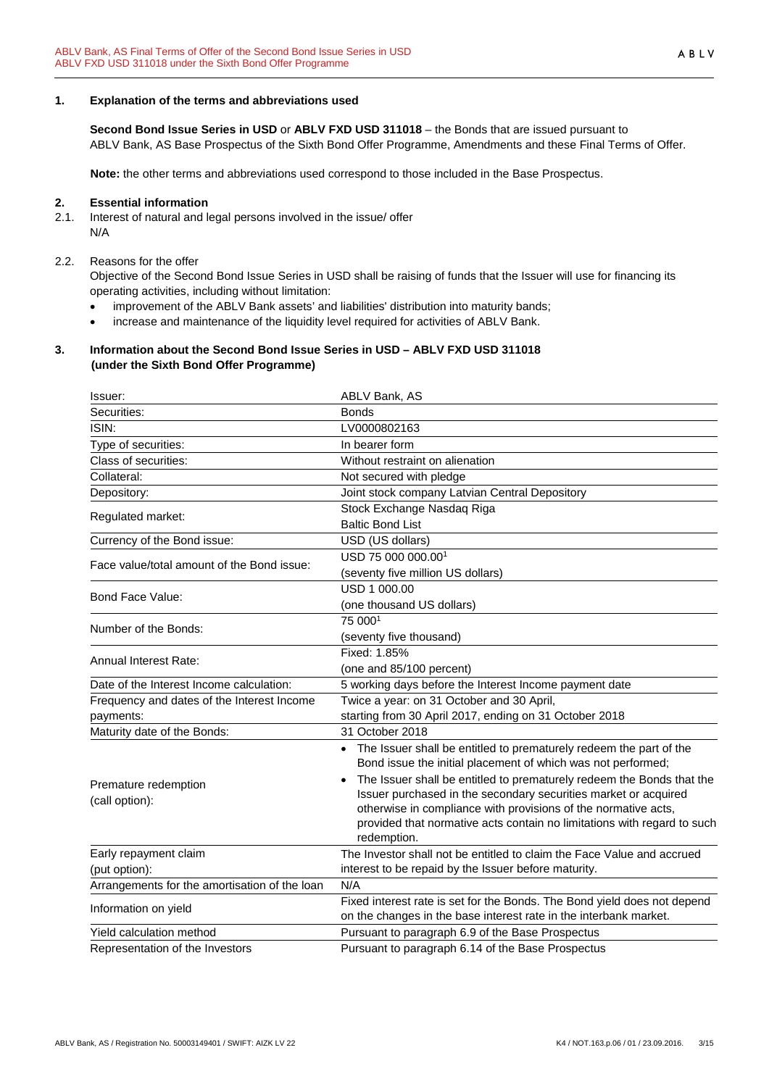### <span id="page-2-0"></span>**1. Explanation of the terms and abbreviations used**

**Second Bond Issue Series in USD** or **ABLV FXD USD 311018** – the Bonds that are issued pursuant to ABLV Bank, AS Base Prospectus of the Sixth Bond Offer Programme, Amendments and these Final Terms of Offer.

**Note:** the other terms and abbreviations used correspond to those included in the Base Prospectus.

#### <span id="page-2-1"></span>**2. Essential information**

2.1. Interest of natural and legal persons involved in the issue/ offer N/A

#### 2.2. Reasons for the offer

Objective of the Second Bond Issue Series in USD shall be raising of funds that the Issuer will use for financing its operating activities, including without limitation:

- improvement of the ABLV Bank assets' and liabilities' distribution into maturity bands;
- increase and maintenance of the liquidity level required for activities of ABLV Bank.

### <span id="page-2-2"></span>**3. Information about the Second Bond Issue Series in USD – ABLV FXD USD 311018 (under the Sixth Bond Offer Programme)**

| Issuer:                                       | ABLV Bank, AS                                                                                                                        |
|-----------------------------------------------|--------------------------------------------------------------------------------------------------------------------------------------|
| Securities:                                   | <b>Bonds</b>                                                                                                                         |
| ISIN:                                         | LV0000802163                                                                                                                         |
| Type of securities:                           | In bearer form                                                                                                                       |
| Class of securities:                          | Without restraint on alienation                                                                                                      |
| Collateral:                                   | Not secured with pledge                                                                                                              |
| Depository:                                   | Joint stock company Latvian Central Depository                                                                                       |
| Regulated market:                             | Stock Exchange Nasdaq Riga                                                                                                           |
|                                               | <b>Baltic Bond List</b>                                                                                                              |
| Currency of the Bond issue:                   | USD (US dollars)                                                                                                                     |
| Face value/total amount of the Bond issue:    | USD 75 000 000.00 <sup>1</sup>                                                                                                       |
|                                               | (seventy five million US dollars)                                                                                                    |
| Bond Face Value:                              | USD 1 000.00                                                                                                                         |
|                                               | (one thousand US dollars)                                                                                                            |
| Number of the Bonds:                          | 75 0001                                                                                                                              |
|                                               | (seventy five thousand)                                                                                                              |
| <b>Annual Interest Rate:</b>                  | Fixed: 1.85%                                                                                                                         |
|                                               | (one and 85/100 percent)                                                                                                             |
| Date of the Interest Income calculation:      | 5 working days before the Interest Income payment date                                                                               |
| Frequency and dates of the Interest Income    | Twice a year: on 31 October and 30 April,                                                                                            |
| payments:                                     | starting from 30 April 2017, ending on 31 October 2018                                                                               |
| Maturity date of the Bonds:                   | 31 October 2018                                                                                                                      |
|                                               | • The Issuer shall be entitled to prematurely redeem the part of the<br>Bond issue the initial placement of which was not performed; |
| Premature redemption                          | The Issuer shall be entitled to prematurely redeem the Bonds that the                                                                |
| (call option):                                | Issuer purchased in the secondary securities market or acquired                                                                      |
|                                               | otherwise in compliance with provisions of the normative acts,                                                                       |
|                                               | provided that normative acts contain no limitations with regard to such                                                              |
|                                               | redemption.<br>The Investor shall not be entitled to claim the Face Value and accrued                                                |
| Early repayment claim<br>(put option):        | interest to be repaid by the Issuer before maturity.                                                                                 |
| Arrangements for the amortisation of the loan | N/A                                                                                                                                  |
|                                               | Fixed interest rate is set for the Bonds. The Bond yield does not depend                                                             |
| Information on yield                          | on the changes in the base interest rate in the interbank market.                                                                    |
| Yield calculation method                      | Pursuant to paragraph 6.9 of the Base Prospectus                                                                                     |
| Representation of the Investors               | Pursuant to paragraph 6.14 of the Base Prospectus                                                                                    |
|                                               |                                                                                                                                      |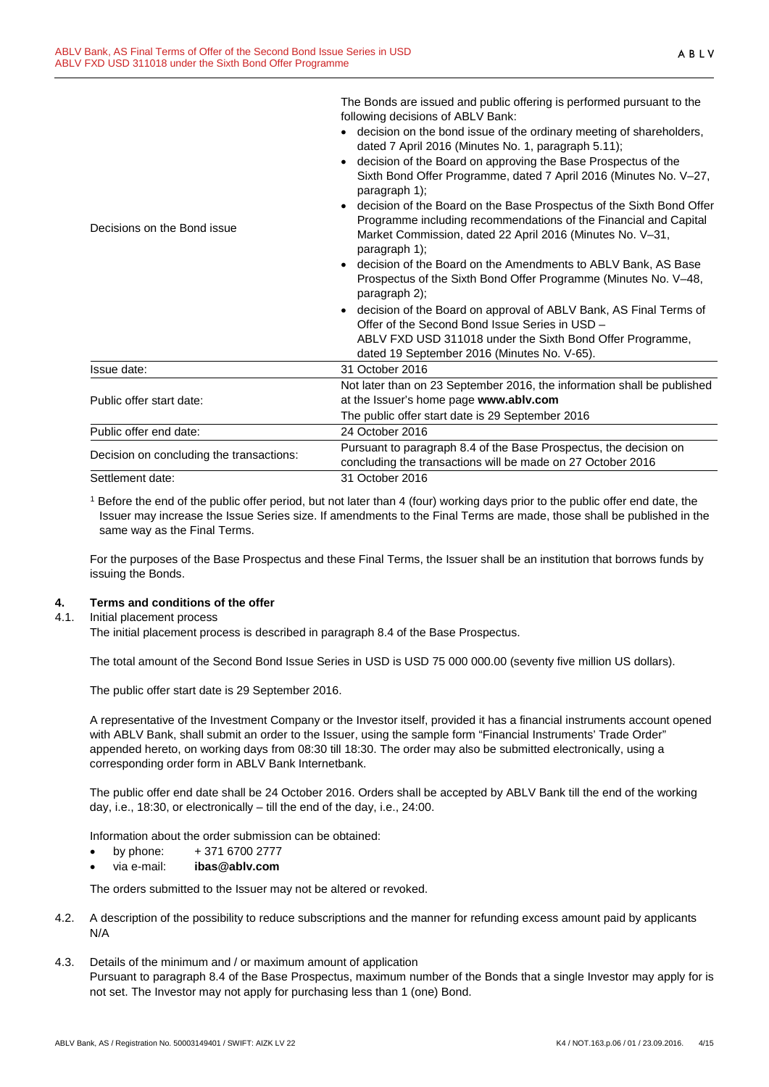|                                          | The bonds are issued and public onemig is periormed pursuant to the<br>following decisions of ABLV Bank:                                                                                                               |
|------------------------------------------|------------------------------------------------------------------------------------------------------------------------------------------------------------------------------------------------------------------------|
|                                          | • decision on the bond issue of the ordinary meeting of shareholders,<br>dated 7 April 2016 (Minutes No. 1, paragraph 5.11);                                                                                           |
|                                          | decision of the Board on approving the Base Prospectus of the<br>$\bullet$<br>Sixth Bond Offer Programme, dated 7 April 2016 (Minutes No. V-27,<br>paragraph 1);                                                       |
| Decisions on the Bond issue              | decision of the Board on the Base Prospectus of the Sixth Bond Offer<br>Programme including recommendations of the Financial and Capital<br>Market Commission, dated 22 April 2016 (Minutes No. V-31,<br>paragraph 1); |
|                                          | • decision of the Board on the Amendments to ABLV Bank, AS Base<br>Prospectus of the Sixth Bond Offer Programme (Minutes No. V-48,<br>paragraph 2);                                                                    |
|                                          | decision of the Board on approval of ABLV Bank, AS Final Terms of<br>Offer of the Second Bond Issue Series in USD -                                                                                                    |
|                                          | ABLV FXD USD 311018 under the Sixth Bond Offer Programme,<br>dated 19 September 2016 (Minutes No. V-65).                                                                                                               |
| Issue date:                              | 31 October 2016                                                                                                                                                                                                        |
| Public offer start date:                 | Not later than on 23 September 2016, the information shall be published<br>at the Issuer's home page www.ablv.com                                                                                                      |
|                                          | The public offer start date is 29 September 2016                                                                                                                                                                       |
| Public offer end date:                   | 24 October 2016                                                                                                                                                                                                        |
|                                          |                                                                                                                                                                                                                        |
| Decision on concluding the transactions: | Pursuant to paragraph 8.4 of the Base Prospectus, the decision on<br>concluding the transactions will be made on 27 October 2016                                                                                       |

The Bonds are issued and public offering is performed pursuant to the

<sup>1</sup> Before the end of the public offer period, but not later than 4 (four) working days prior to the public offer end date, the Issuer may increase the Issue Series size. If amendments to the Final Terms are made, those shall be published in the same way as the Final Terms.

For the purposes of the Base Prospectus and these Final Terms, the Issuer shall be an institution that borrows funds by issuing the Bonds.

## <span id="page-3-0"></span>**4. Terms and conditions of the offer**

### 4.1. Initial placement process

The initial placement process is described in paragraph 8.4 of the Base Prospectus.

The total amount of the Second Bond Issue Series in USD is USD 75 000 000.00 (seventy five million US dollars).

The public offer start date is 29 September 2016.

A representative of the Investment Company or the Investor itself, provided it has a financial instruments account opened with ABLV Bank, shall submit an order to the Issuer, using the sample form "Financial Instruments' Trade Order" appended hereto, on working days from 08:30 till 18:30. The order may also be submitted electronically, using a corresponding order form in ABLV Bank Internetbank.

The public offer end date shall be 24 October 2016. Orders shall be accepted by ABLV Bank till the end of the working day, i.e., 18:30, or electronically – till the end of the day, i.e., 24:00.

Information about the order submission can be obtained:

- by phone: + 371 6700 2777
- via e-mail: **ibas@ablv.com**

The orders submitted to the Issuer may not be altered or revoked.

- 4.2. A description of the possibility to reduce subscriptions and the manner for refunding excess amount paid by applicants N/A
- 4.3. Details of the minimum and / or maximum amount of application Pursuant to paragraph 8.4 of the Base Prospectus, maximum number of the Bonds that a single Investor may apply for is not set. The Investor may not apply for purchasing less than 1 (one) Bond.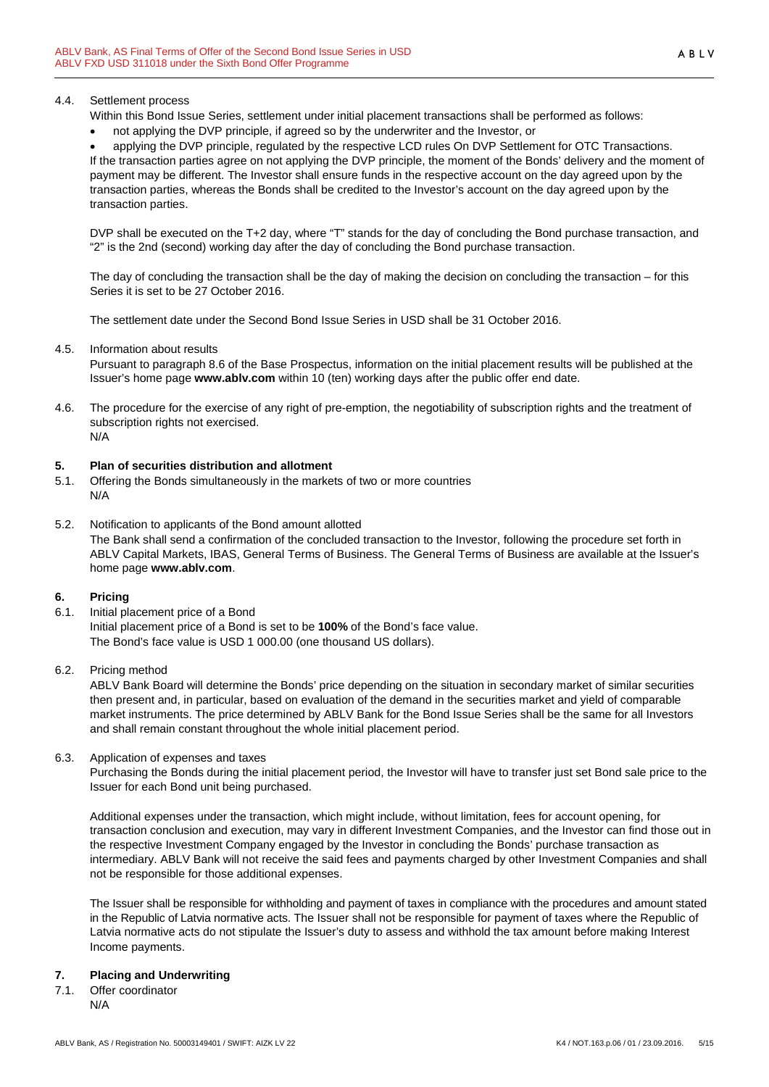### 4.4. Settlement process

Within this Bond Issue Series, settlement under initial placement transactions shall be performed as follows:

• not applying the DVP principle, if agreed so by the underwriter and the Investor, or

• applying the DVP principle, regulated by the respective LCD rules On DVP Settlement for OTC Transactions. If the transaction parties agree on not applying the DVP principle, the moment of the Bonds' delivery and the moment of payment may be different. The Investor shall ensure funds in the respective account on the day agreed upon by the transaction parties, whereas the Bonds shall be credited to the Investor's account on the day agreed upon by the transaction parties.

DVP shall be executed on the T+2 day, where "T" stands for the day of concluding the Bond purchase transaction, and "2" is the 2nd (second) working day after the day of concluding the Bond purchase transaction.

The day of concluding the transaction shall be the day of making the decision on concluding the transaction – for this Series it is set to be 27 October 2016.

The settlement date under the Second Bond Issue Series in USD shall be 31 October 2016.

4.5. Information about results

Pursuant to paragraph 8.6 of the Base Prospectus, information on the initial placement results will be published at the Issuer's home page **www.ablv.com** within 10 (ten) working days after the public offer end date.

4.6. The procedure for the exercise of any right of pre-emption, the negotiability of subscription rights and the treatment of subscription rights not exercised. N/A

## <span id="page-4-0"></span>**5. Plan of securities distribution and allotment**

- 5.1. Offering the Bonds simultaneously in the markets of two or more countries N/A
- 5.2. Notification to applicants of the Bond amount allotted The Bank shall send a confirmation of the concluded transaction to the Investor, following the procedure set forth in ABLV Capital Markets, IBAS, General Terms of Business. The General Terms of Business are available at the Issuer's home page **[www.ablv.com](http://www.ablv.com/)**.

## <span id="page-4-1"></span>**6. Pricing**

- 6.1. Initial placement price of a Bond Initial placement price of a Bond is set to be **100%** of the Bond's face value. The Bond's face value is USD 1 000.00 (one thousand US dollars).
- 6.2. Pricing method

ABLV Bank Board will determine the Bonds' price depending on the situation in secondary market of similar securities then present and, in particular, based on evaluation of the demand in the securities market and yield of comparable market instruments. The price determined by ABLV Bank for the Bond Issue Series shall be the same for all Investors and shall remain constant throughout the whole initial placement period.

6.3. Application of expenses and taxes

Purchasing the Bonds during the initial placement period, the Investor will have to transfer just set Bond sale price to the Issuer for each Bond unit being purchased.

Additional expenses under the transaction, which might include, without limitation, fees for account opening, for transaction conclusion and execution, may vary in different Investment Companies, and the Investor can find those out in the respective Investment Company engaged by the Investor in concluding the Bonds' purchase transaction as intermediary. ABLV Bank will not receive the said fees and payments charged by other Investment Companies and shall not be responsible for those additional expenses.

The Issuer shall be responsible for withholding and payment of taxes in compliance with the procedures and amount stated in the Republic of Latvia normative acts. The Issuer shall not be responsible for payment of taxes where the Republic of Latvia normative acts do not stipulate the Issuer's duty to assess and withhold the tax amount before making Interest Income payments.

## <span id="page-4-2"></span>**7. Placing and Underwriting**

7.1. Offer coordinator N/A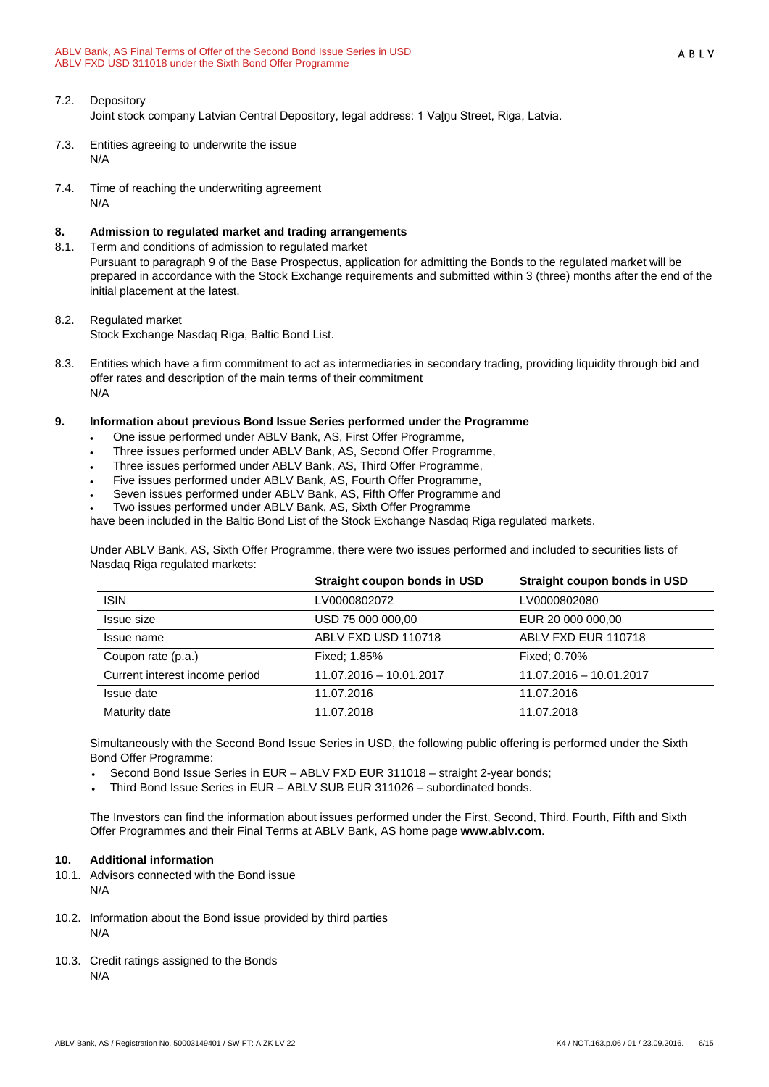# 7.2. Depository

Joint stock company Latvian Central Depository, legal address: 1 Vaļņu Street, Riga, Latvia.

- 7.3. Entities agreeing to underwrite the issue N/A
- 7.4. Time of reaching the underwriting agreement N/A

## <span id="page-5-0"></span>**8. Admission to regulated market and trading arrangements**

8.1. Term and conditions of admission to regulated market Pursuant to paragraph 9 of the Base Prospectus, application for admitting the Bonds to the regulated market will be prepared in accordance with the Stock Exchange requirements and submitted within 3 (three) months after the end of the initial placement at the latest.

## 8.2. Regulated market

Stock Exchange Nasdaq Riga, Baltic Bond List.

8.3. Entities which have a firm commitment to act as intermediaries in secondary trading, providing liquidity through bid and offer rates and description of the main terms of their commitment N/A

## <span id="page-5-1"></span>**9. Information about previous Bond Issue Series performed under the Programme**

- One issue performed under ABLV Bank, AS, First Offer Programme,
- Three issues performed under ABLV Bank, AS, Second Offer Programme,
- Three issues performed under ABLV Bank, AS, Third Offer Programme,
- Five issues performed under ABLV Bank, AS, Fourth Offer Programme,
- Seven issues performed under ABLV Bank, AS, Fifth Offer Programme and
- Two issues performed under ABLV Bank, AS, Sixth Offer Programme

have been included in the Baltic Bond List of the Stock Exchange Nasdaq Riga regulated markets.

Under ABLV Bank, AS, Sixth Offer Programme, there were two issues performed and included to securities lists of Nasdaq Riga regulated markets:

|                                | Straight coupon bonds in USD | Straight coupon bonds in USD |
|--------------------------------|------------------------------|------------------------------|
| <b>ISIN</b>                    | LV0000802072                 | LV0000802080                 |
| Issue size                     | USD 75 000 000,00            | EUR 20 000 000,00            |
| Issue name                     | ABLV FXD USD 110718          | ABLV FXD EUR 110718          |
| Coupon rate (p.a.)             | Fixed: 1.85%                 | Fixed: 0.70%                 |
| Current interest income period | 11.07.2016 - 10.01.2017      | 11.07.2016 - 10.01.2017      |
| Issue date                     | 11.07.2016                   | 11.07.2016                   |
| Maturity date                  | 11.07.2018                   | 11.07.2018                   |

Simultaneously with the Second Bond Issue Series in USD, the following public offering is performed under the Sixth Bond Offer Programme:

- Second Bond Issue Series in EUR ABLV FXD EUR 311018 straight 2-year bonds;
- Third Bond Issue Series in EUR ABLV SUB EUR 311026 subordinated bonds.

The Investors can find the information about issues performed under the First, Second, Third, Fourth, Fifth and Sixth Offer Programmes and their Final Terms at ABLV Bank, AS home page **[www.ablv.com](http://www.ablv.com/)**.

### <span id="page-5-2"></span>**10. Additional information**

- 10.1. Advisors connected with the Bond issue N/A
- 10.2. Information about the Bond issue provided by third parties N/A
- 10.3. Credit ratings assigned to the Bonds N/A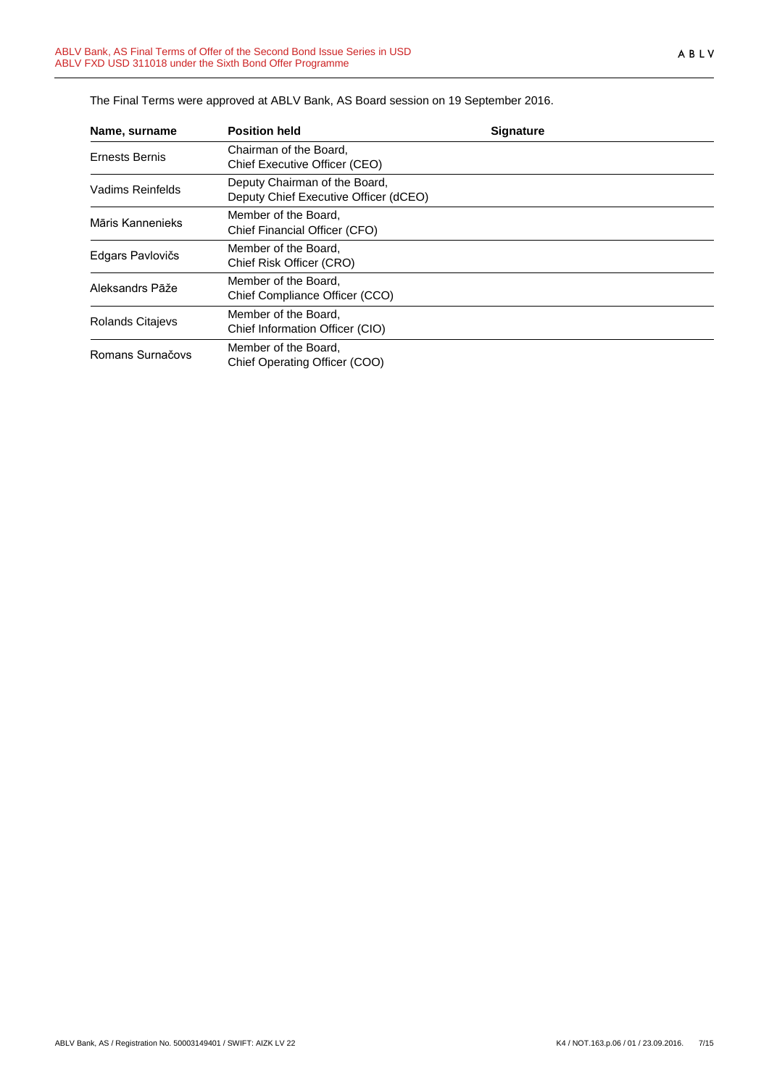| Name, surname           | <b>Position held</b>                                                   | <b>Signature</b> |  |
|-------------------------|------------------------------------------------------------------------|------------------|--|
| Ernests Bernis          | Chairman of the Board.<br>Chief Executive Officer (CEO)                |                  |  |
| Vadims Reinfelds        | Deputy Chairman of the Board,<br>Deputy Chief Executive Officer (dCEO) |                  |  |
| Māris Kannenieks        | Member of the Board.<br>Chief Financial Officer (CFO)                  |                  |  |
| Edgars Pavlovičs        | Member of the Board.<br>Chief Risk Officer (CRO)                       |                  |  |
| Aleksandrs Pāže         | Member of the Board,<br>Chief Compliance Officer (CCO)                 |                  |  |
| <b>Rolands Citajevs</b> | Member of the Board,<br>Chief Information Officer (CIO)                |                  |  |
| Romans Surnačovs        | Member of the Board,<br>Chief Operating Officer (COO)                  |                  |  |

The Final Terms were approved at ABLV Bank, AS Board session on 19 September 2016.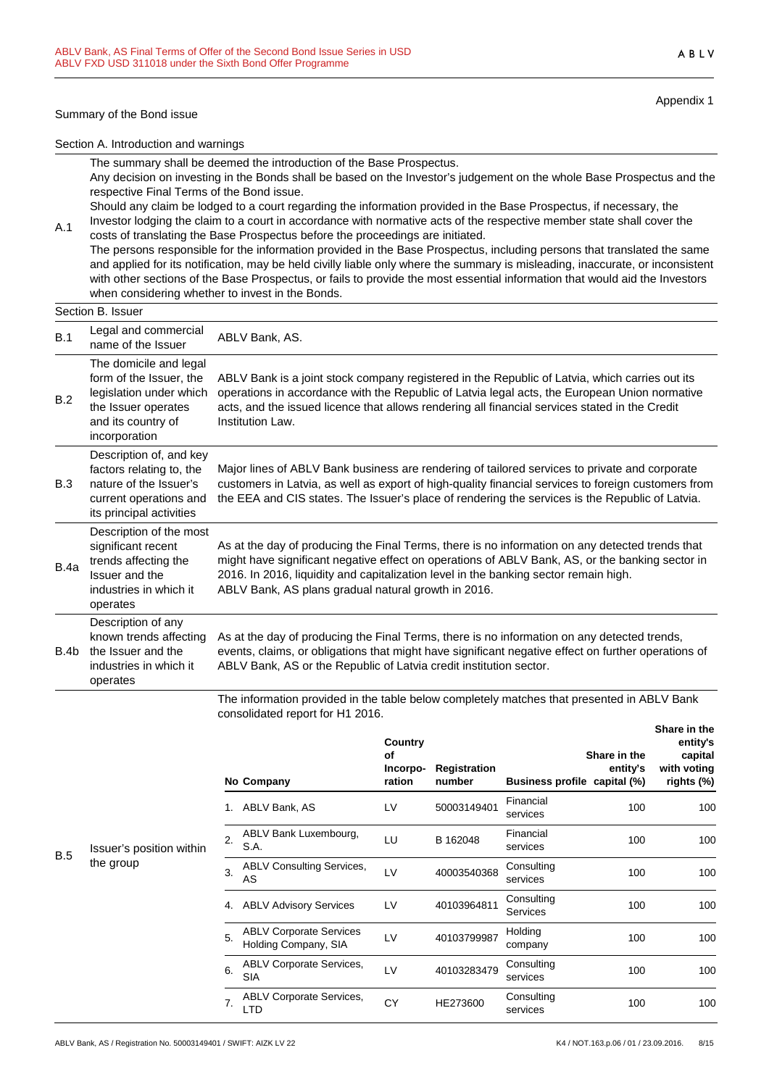#### Summary of the Bond issue

A.1

Appendix 1

ABLV

Section A. Introduction and warnings

The summary shall be deemed the introduction of the Base Prospectus.

Any decision on investing in the Bonds shall be based on the Investor's judgement on the whole Base Prospectus and the respective Final Terms of the Bond issue.

Should any claim be lodged to a court regarding the information provided in the Base Prospectus, if necessary, the Investor lodging the claim to a court in accordance with normative acts of the respective member state shall cover the costs of translating the Base Prospectus before the proceedings are initiated.

The persons responsible for the information provided in the Base Prospectus, including persons that translated the same and applied for its notification, may be held civilly liable only where the summary is misleading, inaccurate, or inconsistent with other sections of the Base Prospectus, or fails to provide the most essential information that would aid the Investors when considering whether to invest in the Bonds.

|      | Section B. Issuer                                                                                                                          |                                                                                                                                                                                                                                                                                                                                                   |  |  |  |
|------|--------------------------------------------------------------------------------------------------------------------------------------------|---------------------------------------------------------------------------------------------------------------------------------------------------------------------------------------------------------------------------------------------------------------------------------------------------------------------------------------------------|--|--|--|
| B.1  | Legal and commercial<br>name of the Issuer                                                                                                 | ABLV Bank, AS.                                                                                                                                                                                                                                                                                                                                    |  |  |  |
| B.2  | The domicile and legal<br>form of the Issuer, the<br>legislation under which<br>the Issuer operates<br>and its country of<br>incorporation | ABLV Bank is a joint stock company registered in the Republic of Latvia, which carries out its<br>operations in accordance with the Republic of Latvia legal acts, the European Union normative<br>acts, and the issued licence that allows rendering all financial services stated in the Credit<br>Institution Law.                             |  |  |  |
| B.3  | Description of, and key<br>factors relating to, the<br>nature of the Issuer's<br>current operations and<br>its principal activities        | Major lines of ABLV Bank business are rendering of tailored services to private and corporate<br>customers in Latvia, as well as export of high-quality financial services to foreign customers from<br>the EEA and CIS states. The Issuer's place of rendering the services is the Republic of Latvia.                                           |  |  |  |
| B.4a | Description of the most<br>significant recent<br>trends affecting the<br>Issuer and the<br>industries in which it<br>operates              | As at the day of producing the Final Terms, there is no information on any detected trends that<br>might have significant negative effect on operations of ABLV Bank, AS, or the banking sector in<br>2016. In 2016, liquidity and capitalization level in the banking sector remain high.<br>ABLV Bank, AS plans gradual natural growth in 2016. |  |  |  |
| B.4b | Description of any<br>known trends affecting<br>the Issuer and the<br>industries in which it<br>operates                                   | As at the day of producing the Final Terms, there is no information on any detected trends,<br>events, claims, or obligations that might have significant negative effect on further operations of<br>ABLV Bank, AS or the Republic of Latvia credit institution sector.                                                                          |  |  |  |

The information provided in the table below completely matches that presented in ABLV Bank consolidated report for H1 2016.

|     |                          |    | No Company                                             | Country<br><b>of</b><br>Incorpo-<br>ration | Registration<br>number | Business profile capital (%)  | Share in the<br>entity's | entity's<br>capital<br>with voting<br>rights (%) |
|-----|--------------------------|----|--------------------------------------------------------|--------------------------------------------|------------------------|-------------------------------|--------------------------|--------------------------------------------------|
|     |                          | 1. | ABLV Bank, AS                                          | LV                                         | 50003149401            | Financial<br>services         | 100                      | 100                                              |
| B.5 | Issuer's position within | 2. | ABLV Bank Luxembourg,<br>S.A.                          | LU                                         | B 162048               | Financial<br>services         | 100                      | 100                                              |
|     | the group                | 3. | <b>ABLV Consulting Services,</b><br>AS                 | LV                                         | 40003540368            | Consulting<br>services        | 100                      | 100                                              |
|     |                          | 4. | <b>ABLV Advisory Services</b>                          | LV                                         | 40103964811            | Consulting<br><b>Services</b> | 100                      | 100                                              |
|     |                          | 5. | <b>ABLV Corporate Services</b><br>Holding Company, SIA | LV                                         | 40103799987            | Holding<br>company            | 100                      | 100                                              |
|     |                          | 6. | <b>ABLV Corporate Services,</b><br><b>SIA</b>          | LV                                         | 40103283479            | Consulting<br>services        | 100                      | 100                                              |
|     |                          | 7. | <b>ABLV Corporate Services,</b><br><b>LTD</b>          | <b>CY</b>                                  | HE273600               | Consulting<br>services        | 100                      | 100                                              |
|     |                          |    |                                                        |                                            |                        |                               |                          |                                                  |

**Share in the**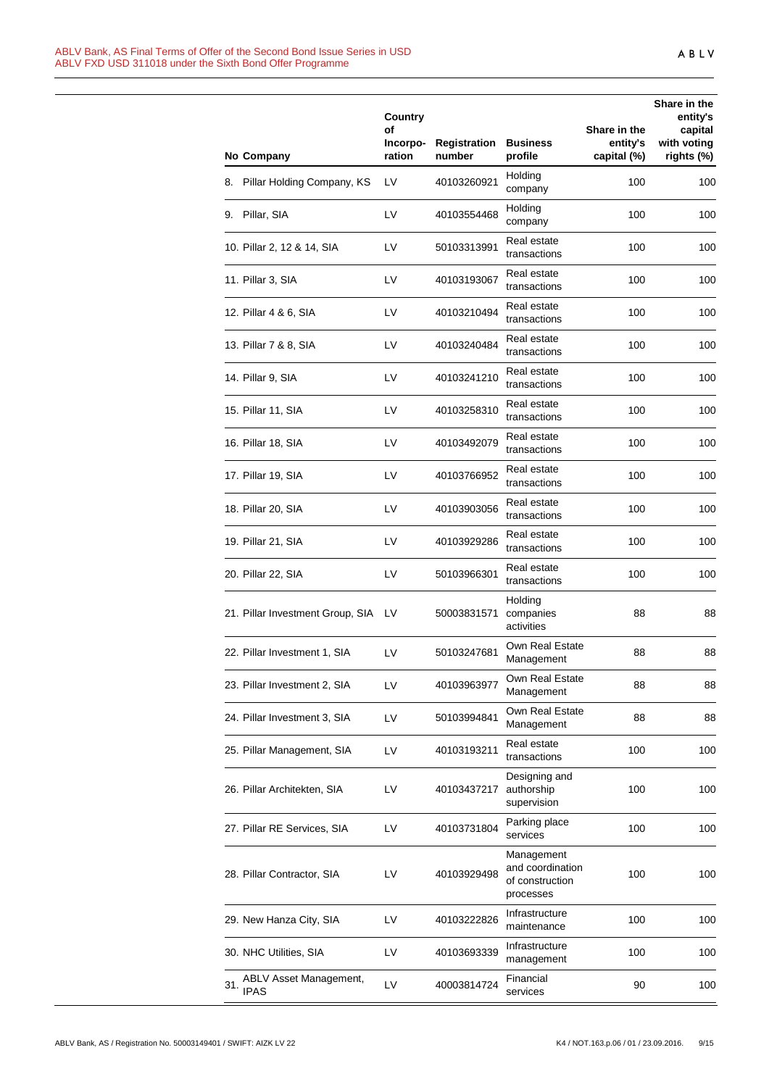|                                              | Country<br>οf<br>Incorpo- | Registration | <b>Business</b>                                                | Share in the<br>entity's | Share in the<br>entity's<br>capital<br>with voting |
|----------------------------------------------|---------------------------|--------------|----------------------------------------------------------------|--------------------------|----------------------------------------------------|
| No Company                                   | ration                    | number       | profile                                                        | capital (%)              | rights (%)                                         |
| Pillar Holding Company, KS<br>8.             | LV                        | 40103260921  | Holding<br>company                                             | 100                      | 100                                                |
| 9. Pillar, SIA                               | LV                        | 40103554468  | Holding<br>company                                             | 100                      | 100                                                |
| 10. Pillar 2, 12 & 14, SIA                   | LV                        | 50103313991  | Real estate<br>transactions                                    | 100                      | 100                                                |
| 11. Pillar 3, SIA                            | LV                        | 40103193067  | Real estate<br>transactions                                    | 100                      | 100                                                |
| 12. Pillar 4 & 6, SIA                        | LV                        | 40103210494  | Real estate<br>transactions                                    | 100                      | 100                                                |
| 13. Pillar 7 & 8, SIA                        | LV                        | 40103240484  | Real estate<br>transactions                                    | 100                      | 100                                                |
| 14. Pillar 9, SIA                            | LV                        | 40103241210  | Real estate<br>transactions                                    | 100                      | 100                                                |
| 15. Pillar 11, SIA                           | LV                        | 40103258310  | Real estate<br>transactions                                    | 100                      | 100                                                |
| 16. Pillar 18, SIA                           | LV                        | 40103492079  | Real estate<br>transactions                                    | 100                      | 100                                                |
| 17. Pillar 19, SIA                           | LV                        | 40103766952  | Real estate<br>transactions                                    | 100                      | 100                                                |
| 18. Pillar 20, SIA                           | LV                        | 40103903056  | Real estate<br>transactions                                    | 100                      | 100                                                |
| 19. Pillar 21, SIA                           | LV                        | 40103929286  | Real estate<br>transactions                                    | 100                      | 100                                                |
| 20. Pillar 22, SIA                           | LV                        | 50103966301  | Real estate<br>transactions                                    | 100                      | 100                                                |
| 21. Pillar Investment Group, SIA LV          |                           | 50003831571  | Holding<br>companies<br>activities                             | 88                       | 88                                                 |
| 22. Pillar Investment 1, SIA                 | LV                        | 50103247681  | Own Real Estate<br>Management                                  | 88                       | 88                                                 |
| 23. Pillar Investment 2, SIA                 | LV                        | 40103963977  | Own Real Estate<br>Management                                  | 88                       | 88                                                 |
| 24. Pillar Investment 3, SIA                 | LV                        | 50103994841  | Own Real Estate<br>Management                                  | 88                       | 88                                                 |
| 25. Pillar Management, SIA                   | LV                        | 40103193211  | Real estate<br>transactions                                    | 100                      | 100                                                |
| 26. Pillar Architekten, SIA                  | LV                        | 40103437217  | Designing and<br>authorship<br>supervision                     | 100                      | 100                                                |
| 27. Pillar RE Services, SIA                  | LV                        | 40103731804  | Parking place<br>services                                      | 100                      | 100                                                |
| 28. Pillar Contractor, SIA                   | LV                        | 40103929498  | Management<br>and coordination<br>of construction<br>processes | 100                      | 100                                                |
| 29. New Hanza City, SIA                      | LV                        | 40103222826  | Infrastructure<br>maintenance                                  | 100                      | 100                                                |
| 30. NHC Utilities, SIA                       | LV                        | 40103693339  | Infrastructure<br>management                                   | 100                      | 100                                                |
| ABLV Asset Management,<br>31.<br><b>IPAS</b> | LV                        | 40003814724  | Financial<br>services                                          | 90                       | 100                                                |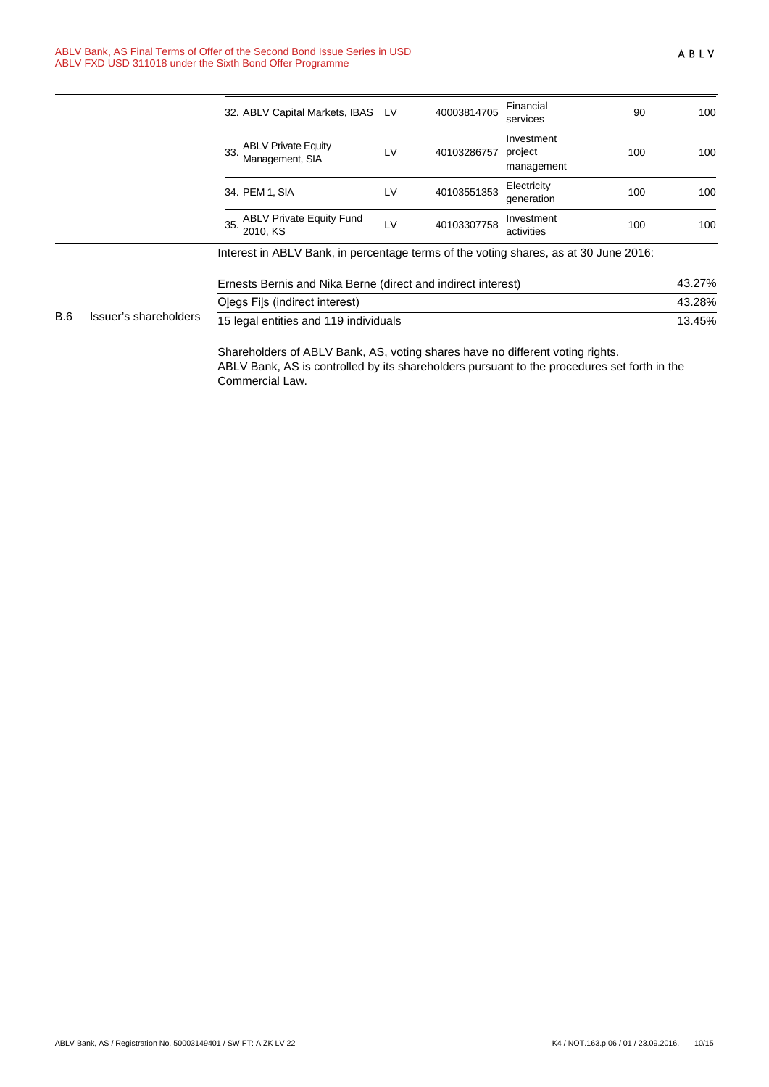|     |                                                                                                                                                                                                 | 32. ABLV Capital Markets, IBAS                                                       | <b>LV</b> | 40003814705 | Financial<br>services               | 90  | 100    |
|-----|-------------------------------------------------------------------------------------------------------------------------------------------------------------------------------------------------|--------------------------------------------------------------------------------------|-----------|-------------|-------------------------------------|-----|--------|
|     |                                                                                                                                                                                                 | <b>ABLV Private Equity</b><br>33<br>Management, SIA                                  | LV        | 40103286757 | Investment<br>project<br>management | 100 | 100    |
|     |                                                                                                                                                                                                 | 34. PEM 1, SIA                                                                       | <b>LV</b> | 40103551353 | Electricity<br>generation           | 100 | 100    |
|     |                                                                                                                                                                                                 | <b>ABLV Private Equity Fund</b><br>35<br>2010, KS                                    | LV        | 40103307758 | Investment<br>activities            | 100 | 100    |
|     |                                                                                                                                                                                                 | Interest in ABLV Bank, in percentage terms of the voting shares, as at 30 June 2016: |           |             |                                     |     |        |
|     |                                                                                                                                                                                                 | Ernests Bernis and Nika Berne (direct and indirect interest)                         |           |             |                                     |     | 43.27% |
|     |                                                                                                                                                                                                 | Olegs Fils (indirect interest)                                                       |           |             |                                     |     | 43.28% |
| B.6 | Issuer's shareholders                                                                                                                                                                           | 15 legal entities and 119 individuals                                                |           |             |                                     |     | 13.45% |
|     | Shareholders of ABLV Bank, AS, voting shares have no different voting rights.<br>ABLV Bank, AS is controlled by its shareholders pursuant to the procedures set forth in the<br>Commercial Law. |                                                                                      |           |             |                                     |     |        |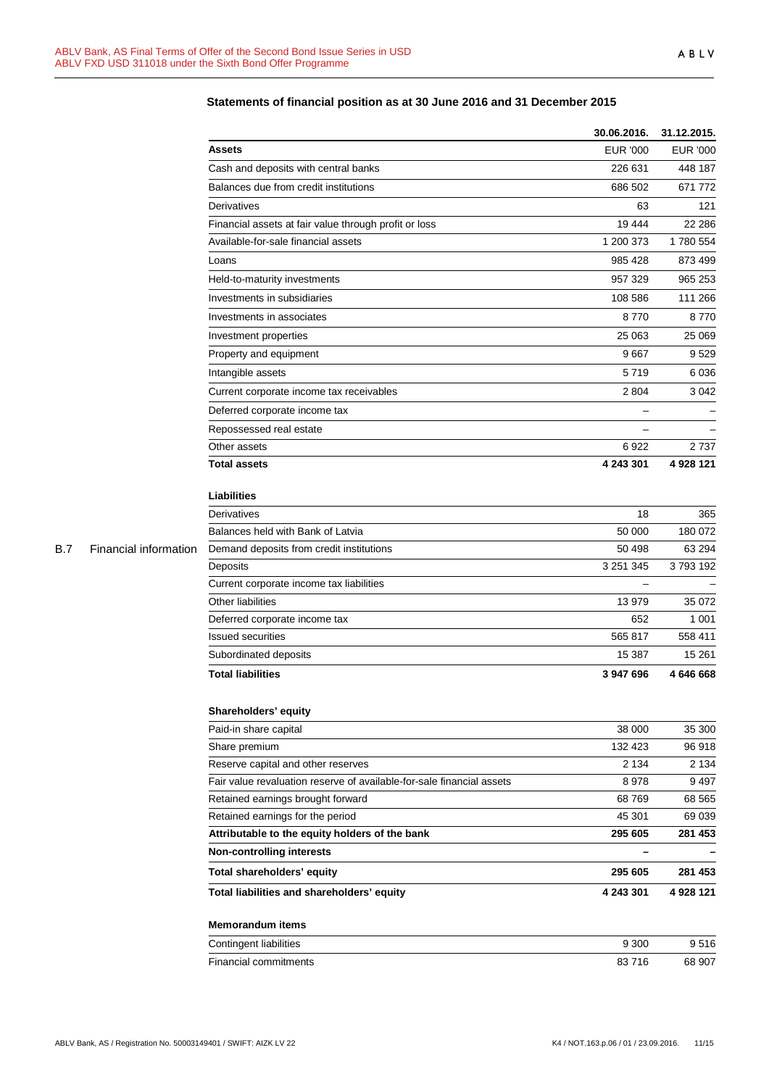|            |                       |                                                                       | 30.06.2016.              | 31.12.2015.     |
|------------|-----------------------|-----------------------------------------------------------------------|--------------------------|-----------------|
|            |                       | <b>Assets</b>                                                         | <b>EUR '000</b>          | <b>EUR '000</b> |
|            |                       | Cash and deposits with central banks                                  | 226 631                  | 448 187         |
|            |                       | Balances due from credit institutions                                 | 686 502                  | 671 772         |
|            |                       | Derivatives                                                           | 63                       | 121             |
|            |                       | Financial assets at fair value through profit or loss                 | 19 444                   | 22 286          |
|            |                       | Available-for-sale financial assets                                   | 1 200 373                | 1780 554        |
|            |                       | Loans                                                                 | 985 428                  | 873 499         |
|            |                       | Held-to-maturity investments                                          | 957 329                  | 965 253         |
|            |                       | Investments in subsidiaries                                           | 108 586                  | 111 266         |
|            |                       | Investments in associates                                             | 8770                     | 8770            |
|            |                       | Investment properties                                                 | 25 063                   | 25 069          |
|            |                       | Property and equipment                                                | 9667                     | 9529            |
|            |                       | Intangible assets                                                     | 5719                     | 6036            |
|            |                       | Current corporate income tax receivables                              | 2 8 0 4                  | 3 0 4 2         |
|            |                       | Deferred corporate income tax                                         | $\overline{\phantom{0}}$ |                 |
|            |                       | Repossessed real estate                                               |                          |                 |
|            |                       | Other assets                                                          | 6922                     | 2737            |
|            |                       | <b>Total assets</b>                                                   | 4 243 301                | 4 928 121       |
|            |                       |                                                                       |                          |                 |
|            |                       | <b>Liabilities</b>                                                    |                          |                 |
|            |                       | Derivatives                                                           | 18                       | 365             |
|            |                       | Balances held with Bank of Latvia                                     | 50 000                   | 180 072         |
| <b>B.7</b> | Financial information | Demand deposits from credit institutions                              | 50 498                   | 63 294          |
|            |                       | Deposits                                                              | 3 251 345                | 3793192         |
|            |                       | Current corporate income tax liabilities                              |                          |                 |
|            |                       | Other liabilities                                                     | 13 979                   | 35 072          |
|            |                       | Deferred corporate income tax                                         | 652                      | 1 0 0 1         |
|            |                       | <b>Issued securities</b>                                              | 565 817                  | 558 411         |
|            |                       | Subordinated deposits                                                 | 15 387                   | 15 2 61         |
|            |                       | <b>Total liabilities</b>                                              | 3 947 696                | 4 646 668       |
|            |                       | Shareholders' equity                                                  |                          |                 |
|            |                       | Paid-in share capital                                                 | 38 000                   | 35 300          |
|            |                       | Share premium                                                         | 132 423                  | 96918           |
|            |                       | Reserve capital and other reserves                                    | 2 1 3 4                  | 2 1 3 4         |
|            |                       | Fair value revaluation reserve of available-for-sale financial assets | 8978                     | 9497            |
|            |                       | Retained earnings brought forward                                     | 68769                    | 68 565          |
|            |                       | Retained earnings for the period                                      | 45 301                   | 69 039          |
|            |                       | Attributable to the equity holders of the bank                        | 295 605                  | 281 453         |
|            |                       | <b>Non-controlling interests</b>                                      | $\overline{\phantom{0}}$ |                 |
|            |                       | Total shareholders' equity                                            | 295 605                  | 281 453         |
|            |                       | Total liabilities and shareholders' equity                            | 4 243 301                | 4 928 121       |
|            |                       | <b>Memorandum items</b>                                               |                          |                 |
|            |                       | Contingent liabilities                                                | 9 3 0 0                  | 9516            |
|            |                       | Financial commitments                                                 | 83716                    | 68 907          |
|            |                       |                                                                       |                          |                 |

## **Statements of financial position as at 30 June 2016 and 31 December 2015**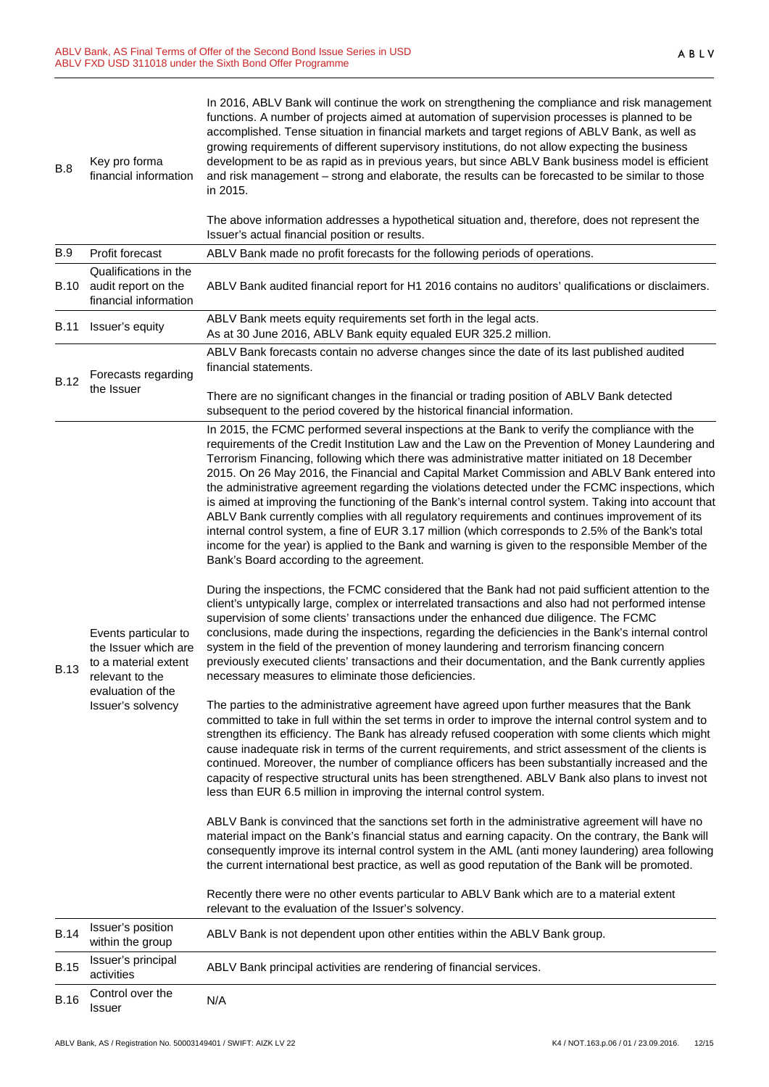| <b>B.15</b><br><b>B.16</b> | activities<br>Control over the<br>Issuer                                                                                          | ABLV Bank principal activities are rendering of financial services.<br>N/A                                                                                                                                                                                                                                                                                                                                                                                                                                                                                                                                                                                                                                                                                                                                                                                                                                                                                               |
|----------------------------|-----------------------------------------------------------------------------------------------------------------------------------|--------------------------------------------------------------------------------------------------------------------------------------------------------------------------------------------------------------------------------------------------------------------------------------------------------------------------------------------------------------------------------------------------------------------------------------------------------------------------------------------------------------------------------------------------------------------------------------------------------------------------------------------------------------------------------------------------------------------------------------------------------------------------------------------------------------------------------------------------------------------------------------------------------------------------------------------------------------------------|
| <b>B.14</b>                | Issuer's position<br>within the group<br>Issuer's principal                                                                       | ABLV Bank is not dependent upon other entities within the ABLV Bank group.                                                                                                                                                                                                                                                                                                                                                                                                                                                                                                                                                                                                                                                                                                                                                                                                                                                                                               |
|                            |                                                                                                                                   | Recently there were no other events particular to ABLV Bank which are to a material extent<br>relevant to the evaluation of the Issuer's solvency.                                                                                                                                                                                                                                                                                                                                                                                                                                                                                                                                                                                                                                                                                                                                                                                                                       |
| <b>B.13</b>                | Events particular to<br>the Issuer which are<br>to a material extent<br>relevant to the<br>evaluation of the<br>Issuer's solvency | ABLV Bank is convinced that the sanctions set forth in the administrative agreement will have no<br>material impact on the Bank's financial status and earning capacity. On the contrary, the Bank will<br>consequently improve its internal control system in the AML (anti money laundering) area following<br>the current international best practice, as well as good reputation of the Bank will be promoted.                                                                                                                                                                                                                                                                                                                                                                                                                                                                                                                                                       |
|                            |                                                                                                                                   | The parties to the administrative agreement have agreed upon further measures that the Bank<br>committed to take in full within the set terms in order to improve the internal control system and to<br>strengthen its efficiency. The Bank has already refused cooperation with some clients which might<br>cause inadequate risk in terms of the current requirements, and strict assessment of the clients is<br>continued. Moreover, the number of compliance officers has been substantially increased and the<br>capacity of respective structural units has been strengthened. ABLV Bank also plans to invest not<br>less than EUR 6.5 million in improving the internal control system.                                                                                                                                                                                                                                                                          |
|                            |                                                                                                                                   | During the inspections, the FCMC considered that the Bank had not paid sufficient attention to the<br>client's untypically large, complex or interrelated transactions and also had not performed intense<br>supervision of some clients' transactions under the enhanced due diligence. The FCMC<br>conclusions, made during the inspections, regarding the deficiencies in the Bank's internal control<br>system in the field of the prevention of money laundering and terrorism financing concern<br>previously executed clients' transactions and their documentation, and the Bank currently applies<br>necessary measures to eliminate those deficiencies.                                                                                                                                                                                                                                                                                                        |
|                            |                                                                                                                                   | In 2015, the FCMC performed several inspections at the Bank to verify the compliance with the<br>requirements of the Credit Institution Law and the Law on the Prevention of Money Laundering and<br>Terrorism Financing, following which there was administrative matter initiated on 18 December<br>2015. On 26 May 2016, the Financial and Capital Market Commission and ABLV Bank entered into<br>the administrative agreement regarding the violations detected under the FCMC inspections, which<br>is aimed at improving the functioning of the Bank's internal control system. Taking into account that<br>ABLV Bank currently complies with all regulatory requirements and continues improvement of its<br>internal control system, a fine of EUR 3.17 million (which corresponds to 2.5% of the Bank's total<br>income for the year) is applied to the Bank and warning is given to the responsible Member of the<br>Bank's Board according to the agreement. |
| <b>B.12</b>                | Issuer's equity<br>Forecasts regarding<br>the Issuer                                                                              | There are no significant changes in the financial or trading position of ABLV Bank detected<br>subsequent to the period covered by the historical financial information.                                                                                                                                                                                                                                                                                                                                                                                                                                                                                                                                                                                                                                                                                                                                                                                                 |
| B.11                       |                                                                                                                                   | As at 30 June 2016, ABLV Bank equity equaled EUR 325.2 million.<br>ABLV Bank forecasts contain no adverse changes since the date of its last published audited<br>financial statements.                                                                                                                                                                                                                                                                                                                                                                                                                                                                                                                                                                                                                                                                                                                                                                                  |
| <b>B.10</b>                | Qualifications in the<br>audit report on the<br>financial information                                                             | ABLV Bank audited financial report for H1 2016 contains no auditors' qualifications or disclaimers.<br>ABLV Bank meets equity requirements set forth in the legal acts.                                                                                                                                                                                                                                                                                                                                                                                                                                                                                                                                                                                                                                                                                                                                                                                                  |
| <b>B.9</b>                 | Profit forecast                                                                                                                   | ABLV Bank made no profit forecasts for the following periods of operations.                                                                                                                                                                                                                                                                                                                                                                                                                                                                                                                                                                                                                                                                                                                                                                                                                                                                                              |
|                            |                                                                                                                                   | The above information addresses a hypothetical situation and, therefore, does not represent the<br>Issuer's actual financial position or results.                                                                                                                                                                                                                                                                                                                                                                                                                                                                                                                                                                                                                                                                                                                                                                                                                        |
| <b>B.8</b>                 | Key pro forma<br>financial information                                                                                            | In 2016, ABLV Bank will continue the work on strengthening the compliance and risk management<br>functions. A number of projects aimed at automation of supervision processes is planned to be<br>accomplished. Tense situation in financial markets and target regions of ABLV Bank, as well as<br>growing requirements of different supervisory institutions, do not allow expecting the business<br>development to be as rapid as in previous years, but since ABLV Bank business model is efficient<br>and risk management - strong and elaborate, the results can be forecasted to be similar to those<br>in 2015.                                                                                                                                                                                                                                                                                                                                                  |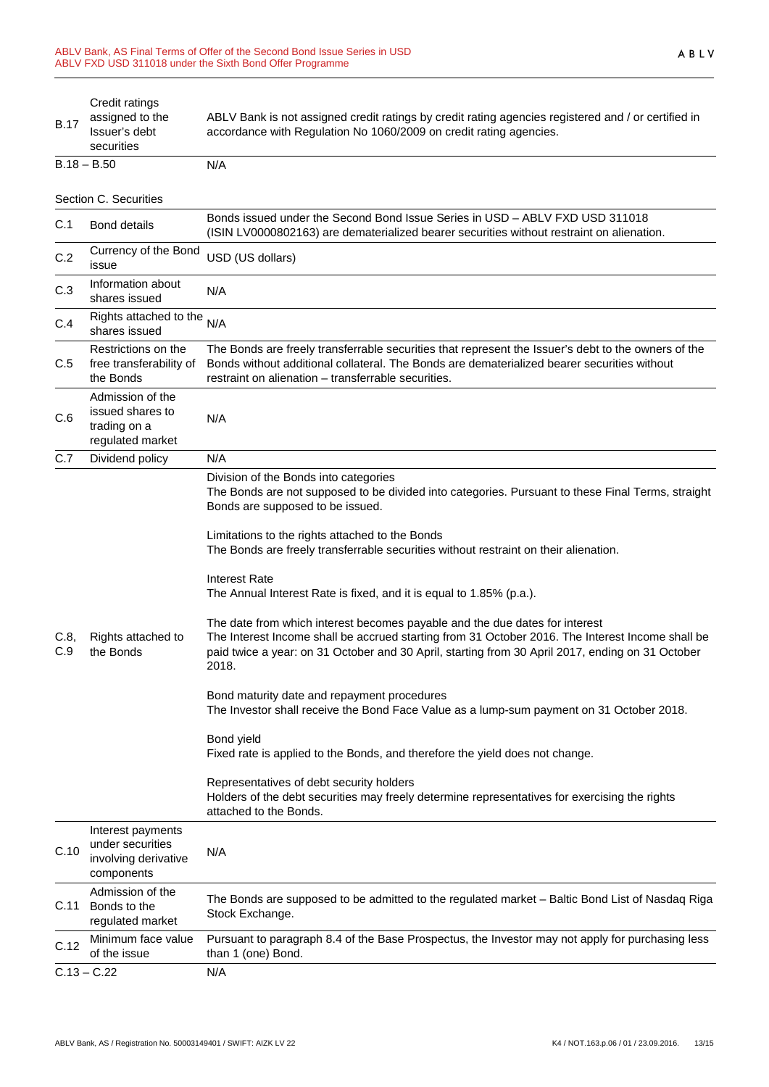| <b>B.17</b>   | Credit ratings<br>assigned to the<br>Issuer's debt<br>securities            | ABLV Bank is not assigned credit ratings by credit rating agencies registered and / or certified in<br>accordance with Regulation No 1060/2009 on credit rating agencies.                                                                                                                                                                                                                                                                                                                                                                                                                                                                                                                                                                                                                                                                                                                                                                                                                                                                                                                                                                |
|---------------|-----------------------------------------------------------------------------|------------------------------------------------------------------------------------------------------------------------------------------------------------------------------------------------------------------------------------------------------------------------------------------------------------------------------------------------------------------------------------------------------------------------------------------------------------------------------------------------------------------------------------------------------------------------------------------------------------------------------------------------------------------------------------------------------------------------------------------------------------------------------------------------------------------------------------------------------------------------------------------------------------------------------------------------------------------------------------------------------------------------------------------------------------------------------------------------------------------------------------------|
| $B.18 - B.50$ |                                                                             | N/A                                                                                                                                                                                                                                                                                                                                                                                                                                                                                                                                                                                                                                                                                                                                                                                                                                                                                                                                                                                                                                                                                                                                      |
|               | Section C. Securities                                                       |                                                                                                                                                                                                                                                                                                                                                                                                                                                                                                                                                                                                                                                                                                                                                                                                                                                                                                                                                                                                                                                                                                                                          |
| C.1           | <b>Bond details</b>                                                         | Bonds issued under the Second Bond Issue Series in USD - ABLV FXD USD 311018<br>(ISIN LV0000802163) are dematerialized bearer securities without restraint on alienation.                                                                                                                                                                                                                                                                                                                                                                                                                                                                                                                                                                                                                                                                                                                                                                                                                                                                                                                                                                |
| C.2           | Currency of the Bond<br>issue                                               | USD (US dollars)                                                                                                                                                                                                                                                                                                                                                                                                                                                                                                                                                                                                                                                                                                                                                                                                                                                                                                                                                                                                                                                                                                                         |
| C.3           | Information about<br>shares issued                                          | N/A                                                                                                                                                                                                                                                                                                                                                                                                                                                                                                                                                                                                                                                                                                                                                                                                                                                                                                                                                                                                                                                                                                                                      |
| C.4           | Rights attached to the<br>shares issued                                     | N/A                                                                                                                                                                                                                                                                                                                                                                                                                                                                                                                                                                                                                                                                                                                                                                                                                                                                                                                                                                                                                                                                                                                                      |
| C.5           | Restrictions on the<br>free transferability of<br>the Bonds                 | The Bonds are freely transferrable securities that represent the Issuer's debt to the owners of the<br>Bonds without additional collateral. The Bonds are dematerialized bearer securities without<br>restraint on alienation - transferrable securities.                                                                                                                                                                                                                                                                                                                                                                                                                                                                                                                                                                                                                                                                                                                                                                                                                                                                                |
| C.6           | Admission of the<br>issued shares to<br>trading on a<br>regulated market    | N/A                                                                                                                                                                                                                                                                                                                                                                                                                                                                                                                                                                                                                                                                                                                                                                                                                                                                                                                                                                                                                                                                                                                                      |
| C.7           | Dividend policy                                                             | N/A                                                                                                                                                                                                                                                                                                                                                                                                                                                                                                                                                                                                                                                                                                                                                                                                                                                                                                                                                                                                                                                                                                                                      |
| C.8,<br>C.9   | Rights attached to<br>the Bonds                                             | Division of the Bonds into categories<br>The Bonds are not supposed to be divided into categories. Pursuant to these Final Terms, straight<br>Bonds are supposed to be issued.<br>Limitations to the rights attached to the Bonds<br>The Bonds are freely transferrable securities without restraint on their alienation.<br><b>Interest Rate</b><br>The Annual Interest Rate is fixed, and it is equal to 1.85% (p.a.).<br>The date from which interest becomes payable and the due dates for interest<br>The Interest Income shall be accrued starting from 31 October 2016. The Interest Income shall be<br>paid twice a year: on 31 October and 30 April, starting from 30 April 2017, ending on 31 October<br>2018.<br>Bond maturity date and repayment procedures<br>The Investor shall receive the Bond Face Value as a lump-sum payment on 31 October 2018.<br>Bond yield<br>Fixed rate is applied to the Bonds, and therefore the yield does not change.<br>Representatives of debt security holders<br>Holders of the debt securities may freely determine representatives for exercising the rights<br>attached to the Bonds. |
| C.10          | Interest payments<br>under securities<br>involving derivative<br>components | N/A                                                                                                                                                                                                                                                                                                                                                                                                                                                                                                                                                                                                                                                                                                                                                                                                                                                                                                                                                                                                                                                                                                                                      |
| C.11          | Admission of the<br>Bonds to the<br>regulated market                        | The Bonds are supposed to be admitted to the regulated market - Baltic Bond List of Nasdaq Riga<br>Stock Exchange.                                                                                                                                                                                                                                                                                                                                                                                                                                                                                                                                                                                                                                                                                                                                                                                                                                                                                                                                                                                                                       |
| C.12          | Minimum face value<br>of the issue                                          | Pursuant to paragraph 8.4 of the Base Prospectus, the Investor may not apply for purchasing less<br>than 1 (one) Bond.                                                                                                                                                                                                                                                                                                                                                                                                                                                                                                                                                                                                                                                                                                                                                                                                                                                                                                                                                                                                                   |
| $C.13 - C.22$ |                                                                             | N/A                                                                                                                                                                                                                                                                                                                                                                                                                                                                                                                                                                                                                                                                                                                                                                                                                                                                                                                                                                                                                                                                                                                                      |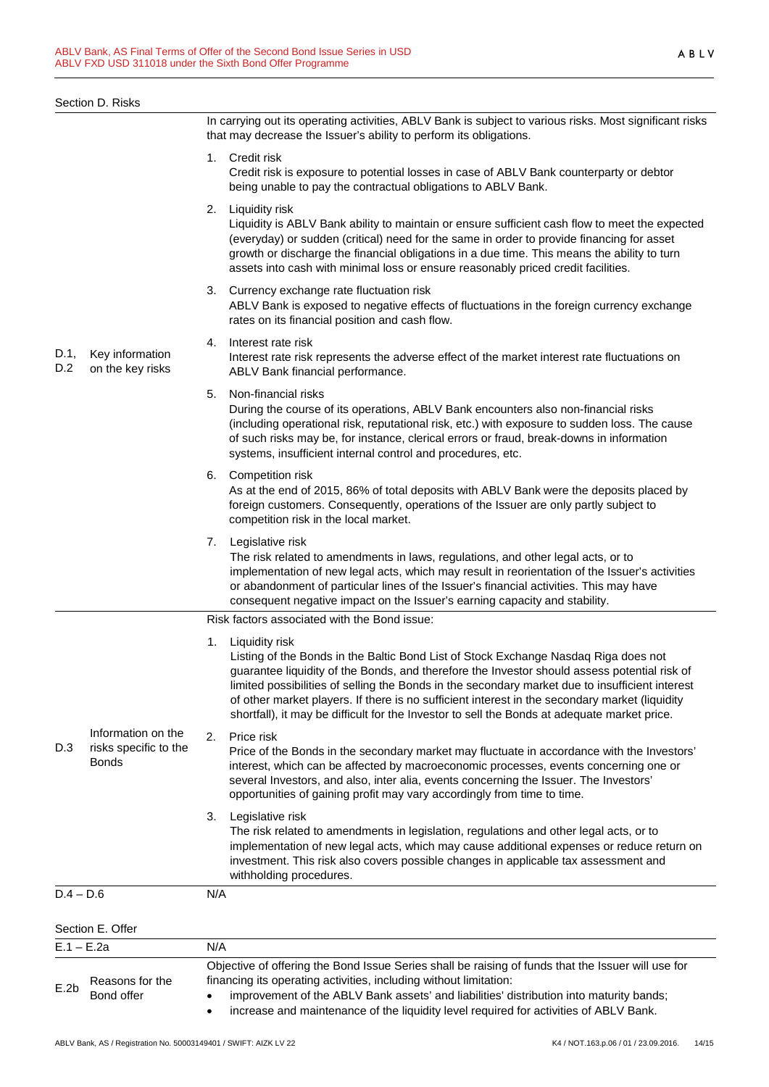|             | Section D. Risks                                            |                                                                                                                                                                                                                                                                                                                                                                                                                                                                                                                  |
|-------------|-------------------------------------------------------------|------------------------------------------------------------------------------------------------------------------------------------------------------------------------------------------------------------------------------------------------------------------------------------------------------------------------------------------------------------------------------------------------------------------------------------------------------------------------------------------------------------------|
|             |                                                             | In carrying out its operating activities, ABLV Bank is subject to various risks. Most significant risks<br>that may decrease the Issuer's ability to perform its obligations.                                                                                                                                                                                                                                                                                                                                    |
|             |                                                             | 1. Credit risk<br>Credit risk is exposure to potential losses in case of ABLV Bank counterparty or debtor<br>being unable to pay the contractual obligations to ABLV Bank.                                                                                                                                                                                                                                                                                                                                       |
| D.1,<br>D.2 | Key information<br>on the key risks                         | Liquidity risk<br>2.<br>Liquidity is ABLV Bank ability to maintain or ensure sufficient cash flow to meet the expected<br>(everyday) or sudden (critical) need for the same in order to provide financing for asset<br>growth or discharge the financial obligations in a due time. This means the ability to turn<br>assets into cash with minimal loss or ensure reasonably priced credit facilities.                                                                                                          |
|             |                                                             | Currency exchange rate fluctuation risk<br>3.<br>ABLV Bank is exposed to negative effects of fluctuations in the foreign currency exchange<br>rates on its financial position and cash flow.                                                                                                                                                                                                                                                                                                                     |
|             |                                                             | Interest rate risk<br>4.<br>Interest rate risk represents the adverse effect of the market interest rate fluctuations on<br>ABLV Bank financial performance.                                                                                                                                                                                                                                                                                                                                                     |
|             |                                                             | 5.<br>Non-financial risks<br>During the course of its operations, ABLV Bank encounters also non-financial risks<br>(including operational risk, reputational risk, etc.) with exposure to sudden loss. The cause<br>of such risks may be, for instance, clerical errors or fraud, break-downs in information<br>systems, insufficient internal control and procedures, etc.                                                                                                                                      |
|             |                                                             | <b>Competition risk</b><br>6.<br>As at the end of 2015, 86% of total deposits with ABLV Bank were the deposits placed by<br>foreign customers. Consequently, operations of the Issuer are only partly subject to<br>competition risk in the local market.                                                                                                                                                                                                                                                        |
|             |                                                             | Legislative risk<br>7.<br>The risk related to amendments in laws, regulations, and other legal acts, or to<br>implementation of new legal acts, which may result in reorientation of the Issuer's activities<br>or abandonment of particular lines of the Issuer's financial activities. This may have<br>consequent negative impact on the Issuer's earning capacity and stability.                                                                                                                             |
|             |                                                             | Risk factors associated with the Bond issue:                                                                                                                                                                                                                                                                                                                                                                                                                                                                     |
| D.3         | Information on the<br>risks specific to the<br><b>Bonds</b> | Liquidity risk<br>1.<br>Listing of the Bonds in the Baltic Bond List of Stock Exchange Nasdaq Riga does not<br>guarantee liquidity of the Bonds, and therefore the Investor should assess potential risk of<br>limited possibilities of selling the Bonds in the secondary market due to insufficient interest<br>of other market players. If there is no sufficient interest in the secondary market (liquidity<br>shortfall), it may be difficult for the Investor to sell the Bonds at adequate market price. |
|             |                                                             | Price risk<br>2.<br>Price of the Bonds in the secondary market may fluctuate in accordance with the Investors'<br>interest, which can be affected by macroeconomic processes, events concerning one or<br>several Investors, and also, inter alia, events concerning the Issuer. The Investors'<br>opportunities of gaining profit may vary accordingly from time to time.                                                                                                                                       |
|             |                                                             | 3.<br>Legislative risk<br>The risk related to amendments in legislation, regulations and other legal acts, or to<br>implementation of new legal acts, which may cause additional expenses or reduce return on<br>investment. This risk also covers possible changes in applicable tax assessment and<br>withholding procedures.                                                                                                                                                                                  |
| $D.4 - D.6$ |                                                             | N/A                                                                                                                                                                                                                                                                                                                                                                                                                                                                                                              |
|             | Section E. Offer                                            |                                                                                                                                                                                                                                                                                                                                                                                                                                                                                                                  |
|             | $E.1 - E.2a$                                                | N/A                                                                                                                                                                                                                                                                                                                                                                                                                                                                                                              |
| E.2b        | Reasons for the<br>Bond offer                               | Objective of offering the Bond Issue Series shall be raising of funds that the Issuer will use for<br>financing its operating activities, including without limitation:<br>improvement of the ABLV Bank assets' and liabilities' distribution into maturity bands;<br>$\bullet$                                                                                                                                                                                                                                  |

• improvement of the ABLV Bank assets' and liabilities' distribution into maturity bands;

• increase and maintenance of the liquidity level required for activities of ABLV Bank.